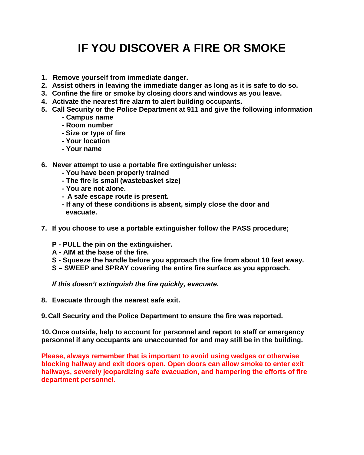# **IF YOU DISCOVER A FIRE OR SMOKE**

- **1. Remove yourself from immediate danger.**
- **2. Assist others in leaving the immediate danger as long as it is safe to do so.**
- **3. Confine the fire or smoke by closing doors and windows as you leave.**
- **4. Activate the nearest fire alarm to alert building occupants.**
- **5. Call Security or the Police Department at 911 and give the following information** 
	- **- Campus name**
	- **- Room number**
	- **- Size or type of fire**
	- **- Your location**
	- **- Your name**
- **6. Never attempt to use a portable fire extinguisher unless:**
	- **- You have been properly trained**
	- **- The fire is small (wastebasket size)**
	- **- You are not alone.**
	- **- A safe escape route is present.**
	- **- If any of these conditions is absent, simply close the door and evacuate.**
- **7. If you choose to use a portable extinguisher follow the PASS procedure;**
	- **P - PULL the pin on the extinguisher.**
	- **A - AIM at the base of the fire.**
	- **S - Squeeze the handle before you approach the fire from about 10 feet away.**
	- **S – SWEEP and SPRAY covering the entire fire surface as you approach.**

*If this doesn't extinguish the fire quickly, evacuate.*

- **8. Evacuate through the nearest safe exit.**
- **9. Call Security and the Police Department to ensure the fire was reported.**

**10. Once outside, help to account for personnel and report to staff or emergency personnel if any occupants are unaccounted for and may still be in the building.** 

**Please, always remember that is important to avoid using wedges or otherwise blocking hallway and exit doors open. Open doors can allow smoke to enter exit hallways, severely jeopardizing safe evacuation, and hampering the efforts of fire department personnel.**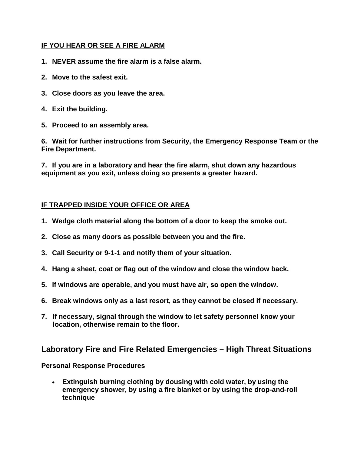#### **IF YOU HEAR OR SEE A FIRE ALARM**

- **1. NEVER assume the fire alarm is a false alarm.**
- **2. Move to the safest exit.**
- **3. Close doors as you leave the area.**
- **4. Exit the building.**
- **5. Proceed to an assembly area.**

**6. Wait for further instructions from Security, the Emergency Response Team or the Fire Department.**

**7. If you are in a laboratory and hear the fire alarm, shut down any hazardous equipment as you exit, unless doing so presents a greater hazard.**

### **IF TRAPPED INSIDE YOUR OFFICE OR AREA**

- **1. Wedge cloth material along the bottom of a door to keep the smoke out.**
- **2. Close as many doors as possible between you and the fire.**
- **3. Call Security or 9-1-1 and notify them of your situation.**
- **4. Hang a sheet, coat or flag out of the window and close the window back.**
- **5. If windows are operable, and you must have air, so open the window.**
- **6. Break windows only as a last resort, as they cannot be closed if necessary.**
- **7. If necessary, signal through the window to let safety personnel know your location, otherwise remain to the floor.**

## **Laboratory Fire and Fire Related Emergencies – High Threat Situations**

#### **Personal Response Procedures**

• **Extinguish burning clothing by dousing with cold water, by using the emergency shower, by using a fire blanket or by using the drop-and-roll technique**